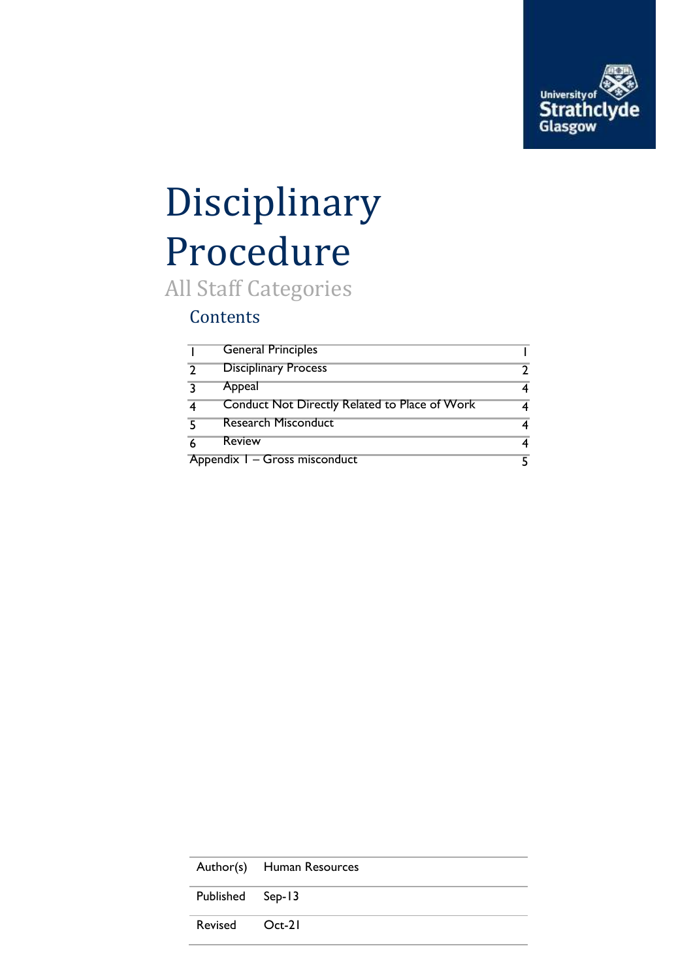

# Disciplinary Procedure

All Staff Categories

#### **Contents**

|                               | <b>General Principles</b>                     |   |
|-------------------------------|-----------------------------------------------|---|
| $\mathcal{D}$                 | <b>Disciplinary Process</b>                   | າ |
| ्र                            | Appeal                                        | 4 |
|                               | Conduct Not Directly Related to Place of Work | 4 |
| 5                             | <b>Research Misconduct</b>                    | 4 |
| 6                             | <b>Review</b>                                 | 4 |
| Appendix I - Gross misconduct |                                               | 5 |

|                  | Author(s) Human Resources |
|------------------|---------------------------|
| Published Sep-13 |                           |
| Revised Oct-21   |                           |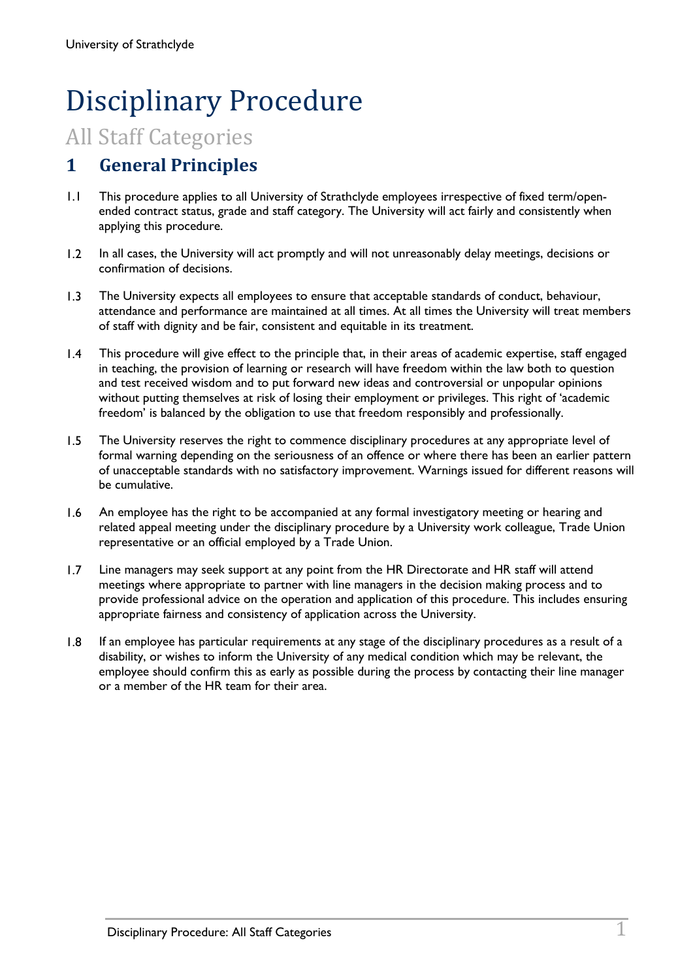## Disciplinary Procedure

### All Staff Categories

#### **1 General Principles**

- 1.1 This procedure applies to all University of Strathclyde employees irrespective of fixed term/openended contract status, grade and staff category. The University will act fairly and consistently when applying this procedure.
- 1.2 In all cases, the University will act promptly and will not unreasonably delay meetings, decisions or confirmation of decisions.
- 1.3 The University expects all employees to ensure that acceptable standards of conduct, behaviour, attendance and performance are maintained at all times. At all times the University will treat members of staff with dignity and be fair, consistent and equitable in its treatment.
- 1.4 This procedure will give effect to the principle that, in their areas of academic expertise, staff engaged in teaching, the provision of learning or research will have freedom within the law both to question and test received wisdom and to put forward new ideas and controversial or unpopular opinions without putting themselves at risk of losing their employment or privileges. This right of 'academic freedom' is balanced by the obligation to use that freedom responsibly and professionally.
- 1.5 The University reserves the right to commence disciplinary procedures at any appropriate level of formal warning depending on the seriousness of an offence or where there has been an earlier pattern of unacceptable standards with no satisfactory improvement. Warnings issued for different reasons will be cumulative.
- 1.6 An employee has the right to be accompanied at any formal investigatory meeting or hearing and related appeal meeting under the disciplinary procedure by a University work colleague, Trade Union representative or an official employed by a Trade Union.
- 1.7 Line managers may seek support at any point from the HR Directorate and HR staff will attend meetings where appropriate to partner with line managers in the decision making process and to provide professional advice on the operation and application of this procedure. This includes ensuring appropriate fairness and consistency of application across the University.
- 1.8 If an employee has particular requirements at any stage of the disciplinary procedures as a result of a disability, or wishes to inform the University of any medical condition which may be relevant, the employee should confirm this as early as possible during the process by contacting their line manager or a member of the HR team for their area.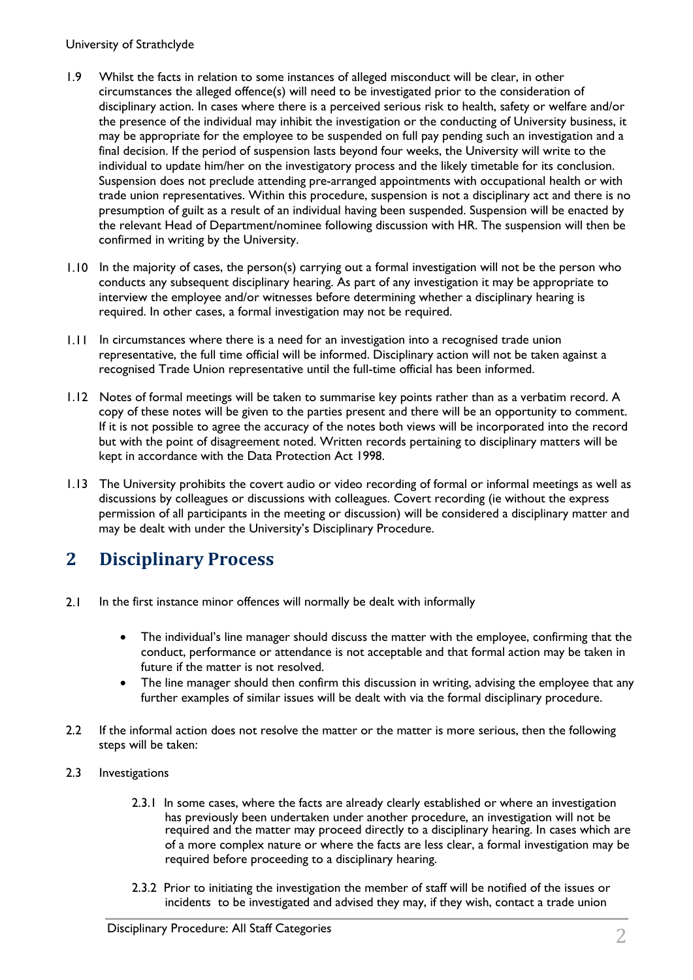#### University of Strathclyde

- 1.9 Whilst the facts in relation to some instances of alleged misconduct will be clear, in other circumstances the alleged offence(s) will need to be investigated prior to the consideration of disciplinary action. In cases where there is a perceived serious risk to health, safety or welfare and/or the presence of the individual may inhibit the investigation or the conducting of University business, it may be appropriate for the employee to be suspended on full pay pending such an investigation and a final decision. If the period of suspension lasts beyond four weeks, the University will write to the individual to update him/her on the investigatory process and the likely timetable for its conclusion. Suspension does not preclude attending pre-arranged appointments with occupational health or with trade union representatives. Within this procedure, suspension is not a disciplinary act and there is no presumption of guilt as a result of an individual having been suspended. Suspension will be enacted by the relevant Head of Department/nominee following discussion with HR. The suspension will then be confirmed in writing by the University.
- 1.10 In the majority of cases, the person(s) carrying out a formal investigation will not be the person who conducts any subsequent disciplinary hearing. As part of any investigation it may be appropriate to interview the employee and/or witnesses before determining whether a disciplinary hearing is required. In other cases, a formal investigation may not be required.
- 1.11 In circumstances where there is a need for an investigation into a recognised trade union representative, the full time official will be informed. Disciplinary action will not be taken against a recognised Trade Union representative until the full-time official has been informed.
- 1.12 Notes of formal meetings will be taken to summarise key points rather than as a verbatim record. A copy of these notes will be given to the parties present and there will be an opportunity to comment. If it is not possible to agree the accuracy of the notes both views will be incorporated into the record but with the point of disagreement noted. Written records pertaining to disciplinary matters will be kept in accordance with the Data Protection Act 1998.
- 1.13 The University prohibits the covert audio or video recording of formal or informal meetings as well as discussions by colleagues or discussions with colleagues. Covert recording (ie without the express permission of all participants in the meeting or discussion) will be considered a disciplinary matter and may be dealt with under the University's Disciplinary Procedure.

#### **2 Disciplinary Process**

- 2.1 In the first instance minor offences will normally be dealt with informally
	- The individual's line manager should discuss the matter with the employee, confirming that the conduct, performance or attendance is not acceptable and that formal action may be taken in future if the matter is not resolved.
	- The line manager should then confirm this discussion in writing, advising the employee that any further examples of similar issues will be dealt with via the formal disciplinary procedure.
- 2.2 If the informal action does not resolve the matter or the matter is more serious, then the following steps will be taken:
- 2.3 Investigations
	- 2.3.1 In some cases, where the facts are already clearly established or where an investigation has previously been undertaken under another procedure, an investigation will not be required and the matter may proceed directly to a disciplinary hearing. In cases which are of a more complex nature or where the facts are less clear, a formal investigation may be required before proceeding to a disciplinary hearing.
	- 2.3.2 Prior to initiating the investigation the member of staff will be notified of the issues or incidents to be investigated and advised they may, if they wish, contact a trade union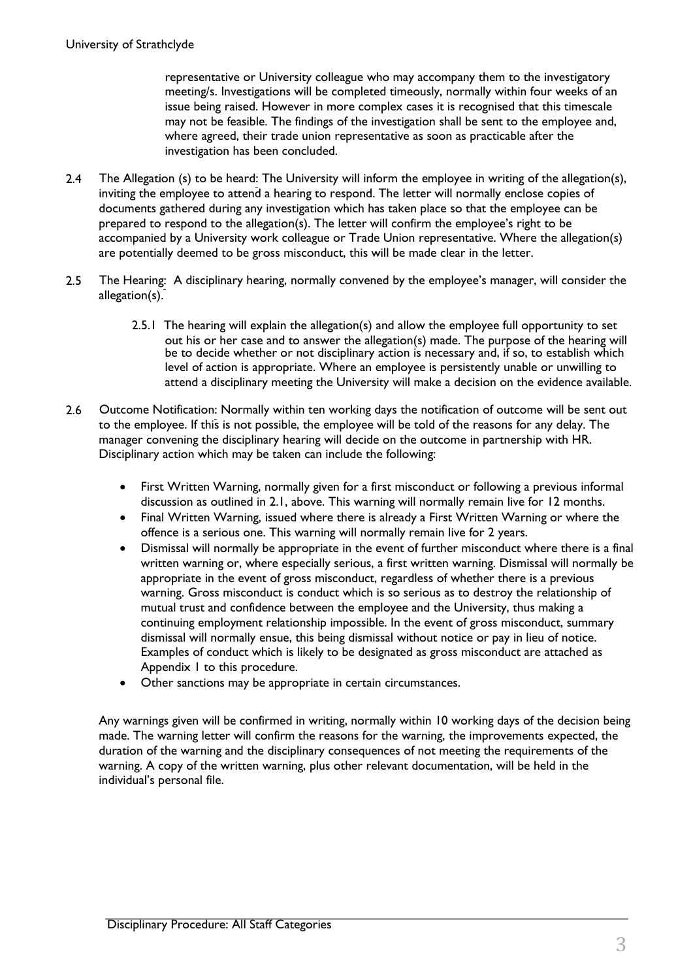representative or University colleague who may accompany them to the investigatory meeting/s. Investigations will be completed timeously, normally within four weeks of an issue being raised. However in more complex cases it is recognised that this timescale may not be feasible. The findings of the investigation shall be sent to the employee and, where agreed, their trade union representative as soon as practicable after the investigation has been concluded.

- 2.4 The Allegation (s) to be heard: The University will inform the employee in writing of the allegation(s), inviting the employee to attend a hearing to respond. The letter will normally enclose copies of documents gathered during any investigation which has taken place so that the employee can be prepared to respond to the allegation(s). The letter will confirm the employee's right to be accompanied by a University work colleague or Trade Union representative. Where the allegation(s) are potentially deemed to be gross misconduct, this will be made clear in the letter.
- 2.5 The Hearing: A disciplinary hearing, normally convened by the employee's manager, will consider the allegation(s).
	- 2.5.1 The hearing will explain the allegation(s) and allow the employee full opportunity to set out his or her case and to answer the allegation(s) made. The purpose of the hearing will be to decide whether or not disciplinary action is necessary and, if so, to establish which level of action is appropriate. Where an employee is persistently unable or unwilling to attend a disciplinary meeting the University will make a decision on the evidence available.
- 2.6 Outcome Notification: Normally within ten working days the notification of outcome will be sent out to the employee. If this is not possible, the employee will be told of the reasons for any delay. The manager convening the disciplinary hearing will decide on the outcome in partnership with HR. Disciplinary action which may be taken can include the following:
	- First Written Warning, normally given for a first misconduct or following a previous informal discussion as outlined in 2.1, above. This warning will normally remain live for 12 months.
	- Final Written Warning, issued where there is already a First Written Warning or where the offence is a serious one. This warning will normally remain live for 2 years.
	- Dismissal will normally be appropriate in the event of further misconduct where there is a final written warning or, where especially serious, a first written warning. Dismissal will normally be appropriate in the event of gross misconduct, regardless of whether there is a previous warning. Gross misconduct is conduct which is so serious as to destroy the relationship of mutual trust and confidence between the employee and the University, thus making a continuing employment relationship impossible. In the event of gross misconduct, summary dismissal will normally ensue, this being dismissal without notice or pay in lieu of notice. Examples of conduct which is likely to be designated as gross misconduct are attached as Appendix 1 to this procedure.
	- Other sanctions may be appropriate in certain circumstances.

Any warnings given will be confirmed in writing, normally within 10 working days of the decision being made. The warning letter will confirm the reasons for the warning, the improvements expected, the duration of the warning and the disciplinary consequences of not meeting the requirements of the warning. A copy of the written warning, plus other relevant documentation, will be held in the individual's personal file.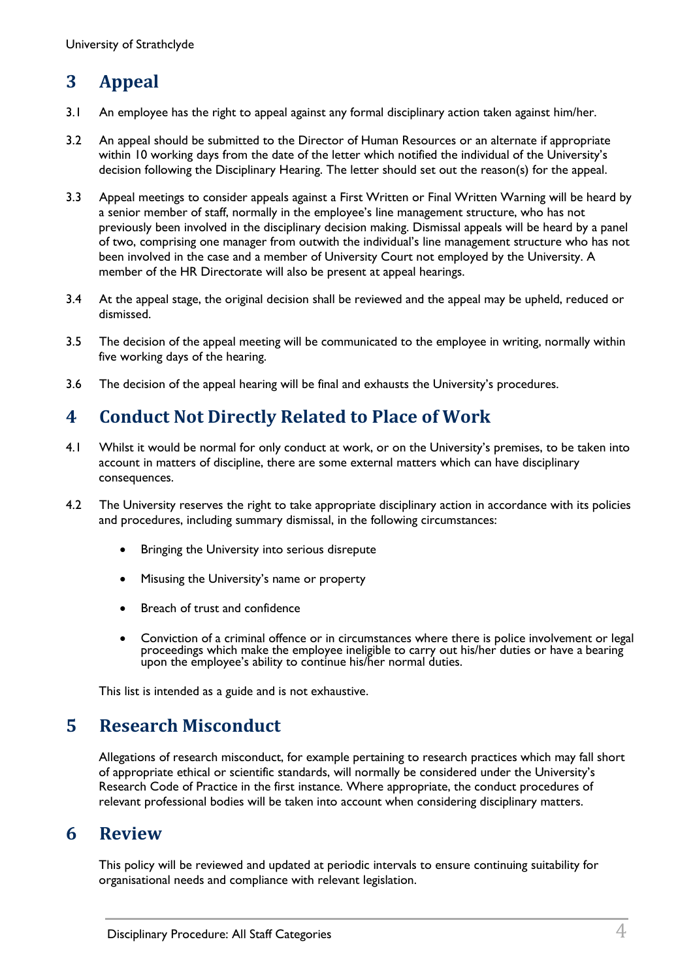#### **3 Appeal**

- 3.1 An employee has the right to appeal against any formal disciplinary action taken against him/her.
- 3.2 An appeal should be submitted to the Director of Human Resources or an alternate if appropriate within 10 working days from the date of the letter which notified the individual of the University's decision following the Disciplinary Hearing. The letter should set out the reason(s) for the appeal.
- 3.3 Appeal meetings to consider appeals against a First Written or Final Written Warning will be heard by a senior member of staff, normally in the employee's line management structure, who has not previously been involved in the disciplinary decision making. Dismissal appeals will be heard by a panel of two, comprising one manager from outwith the individual's line management structure who has not been involved in the case and a member of University Court not employed by the University. A member of the HR Directorate will also be present at appeal hearings.
- 3.4 At the appeal stage, the original decision shall be reviewed and the appeal may be upheld, reduced or dismissed.
- 3.5 The decision of the appeal meeting will be communicated to the employee in writing, normally within five working days of the hearing.
- 3.6 The decision of the appeal hearing will be final and exhausts the University's procedures.

#### **4 Conduct Not Directly Related to Place of Work**

- 4.1 Whilst it would be normal for only conduct at work, or on the University's premises, to be taken into account in matters of discipline, there are some external matters which can have disciplinary consequences.
- 4.2 The University reserves the right to take appropriate disciplinary action in accordance with its policies and procedures, including summary dismissal, in the following circumstances:
	- Bringing the University into serious disrepute
	- Misusing the University's name or property
	- Breach of trust and confidence
	- Conviction of a criminal offence or in circumstances where there is police involvement or legal proceedings which make the employee ineligible to carry out his/her duties or have a bearing upon the employee's ability to continue his/her normal duties.

This list is intended as a guide and is not exhaustive.

#### **5 Research Misconduct**

Allegations of research misconduct, for example pertaining to research practices which may fall short of appropriate ethical or scientific standards, will normally be considered under the University's Research Code of Practice in the first instance. Where appropriate, the conduct procedures of relevant professional bodies will be taken into account when considering disciplinary matters.

#### **6 Review**

This policy will be reviewed and updated at periodic intervals to ensure continuing suitability for organisational needs and compliance with relevant legislation.